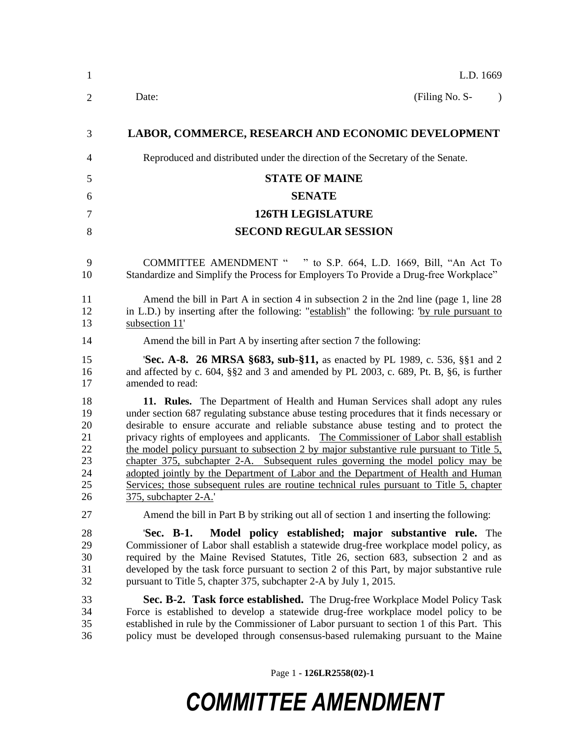| $\mathbf{1}$                                       | L.D. 1669                                                                                                                                                                                                                                                                                                                                                                                                                                                                                                                                                                                                                                                                                                                                            |
|----------------------------------------------------|------------------------------------------------------------------------------------------------------------------------------------------------------------------------------------------------------------------------------------------------------------------------------------------------------------------------------------------------------------------------------------------------------------------------------------------------------------------------------------------------------------------------------------------------------------------------------------------------------------------------------------------------------------------------------------------------------------------------------------------------------|
| $\overline{2}$                                     | (Filing No. S-<br>Date:                                                                                                                                                                                                                                                                                                                                                                                                                                                                                                                                                                                                                                                                                                                              |
| 3                                                  | LABOR, COMMERCE, RESEARCH AND ECONOMIC DEVELOPMENT                                                                                                                                                                                                                                                                                                                                                                                                                                                                                                                                                                                                                                                                                                   |
| 4                                                  | Reproduced and distributed under the direction of the Secretary of the Senate.                                                                                                                                                                                                                                                                                                                                                                                                                                                                                                                                                                                                                                                                       |
| 5                                                  | <b>STATE OF MAINE</b>                                                                                                                                                                                                                                                                                                                                                                                                                                                                                                                                                                                                                                                                                                                                |
| 6                                                  | <b>SENATE</b>                                                                                                                                                                                                                                                                                                                                                                                                                                                                                                                                                                                                                                                                                                                                        |
| $\tau$                                             | <b>126TH LEGISLATURE</b>                                                                                                                                                                                                                                                                                                                                                                                                                                                                                                                                                                                                                                                                                                                             |
| 8                                                  | <b>SECOND REGULAR SESSION</b>                                                                                                                                                                                                                                                                                                                                                                                                                                                                                                                                                                                                                                                                                                                        |
| 9<br>10                                            | <b>COMMITTEE AMENDMENT "</b><br>" to S.P. 664, L.D. 1669, Bill, "An Act To<br>Standardize and Simplify the Process for Employers To Provide a Drug-free Workplace"                                                                                                                                                                                                                                                                                                                                                                                                                                                                                                                                                                                   |
| 11<br>12<br>13                                     | Amend the bill in Part A in section 4 in subsection 2 in the 2nd line (page 1, line 28)<br>in L.D.) by inserting after the following: "establish" the following: "by rule pursuant to<br>subsection 11'                                                                                                                                                                                                                                                                                                                                                                                                                                                                                                                                              |
| 14                                                 | Amend the bill in Part A by inserting after section 7 the following:                                                                                                                                                                                                                                                                                                                                                                                                                                                                                                                                                                                                                                                                                 |
| 15<br>16<br>17                                     | <b>Sec. A-8. 26 MRSA §683, sub-§11,</b> as enacted by PL 1989, c. 536, §§1 and 2<br>and affected by c. $604$ , $\S$ $\S$ 2 and 3 and amended by PL 2003, c. $689$ , Pt. B, $\S$ 6, is further<br>amended to read:                                                                                                                                                                                                                                                                                                                                                                                                                                                                                                                                    |
| 18<br>19<br>20<br>21<br>22<br>23<br>24<br>25<br>26 | 11. Rules. The Department of Health and Human Services shall adopt any rules<br>under section 687 regulating substance abuse testing procedures that it finds necessary or<br>desirable to ensure accurate and reliable substance abuse testing and to protect the<br>privacy rights of employees and applicants. The Commissioner of Labor shall establish<br>the model policy pursuant to subsection 2 by major substantive rule pursuant to Title 5,<br>chapter 375, subchapter 2-A. Subsequent rules governing the model policy may be<br>adopted jointly by the Department of Labor and the Department of Health and Human<br>Services; those subsequent rules are routine technical rules pursuant to Title 5, chapter<br>375, subchapter 2-A. |
| 27                                                 | Amend the bill in Part B by striking out all of section 1 and inserting the following:                                                                                                                                                                                                                                                                                                                                                                                                                                                                                                                                                                                                                                                               |
| 28<br>29<br>30<br>31<br>32                         | Model policy established; major substantive rule. The<br>'Sec. B-1.<br>Commissioner of Labor shall establish a statewide drug-free workplace model policy, as<br>required by the Maine Revised Statutes, Title 26, section 683, subsection 2 and as<br>developed by the task force pursuant to section 2 of this Part, by major substantive rule<br>pursuant to Title 5, chapter 375, subchapter 2-A by July 1, 2015.                                                                                                                                                                                                                                                                                                                                |
| 33<br>34<br>35<br>36                               | Sec. B-2. Task force established. The Drug-free Workplace Model Policy Task<br>Force is established to develop a statewide drug-free workplace model policy to be<br>established in rule by the Commissioner of Labor pursuant to section 1 of this Part. This<br>policy must be developed through consensus-based rulemaking pursuant to the Maine                                                                                                                                                                                                                                                                                                                                                                                                  |

Page 1 **- 126LR2558(02)-1**

## *COMMITTEE AMENDMENT*